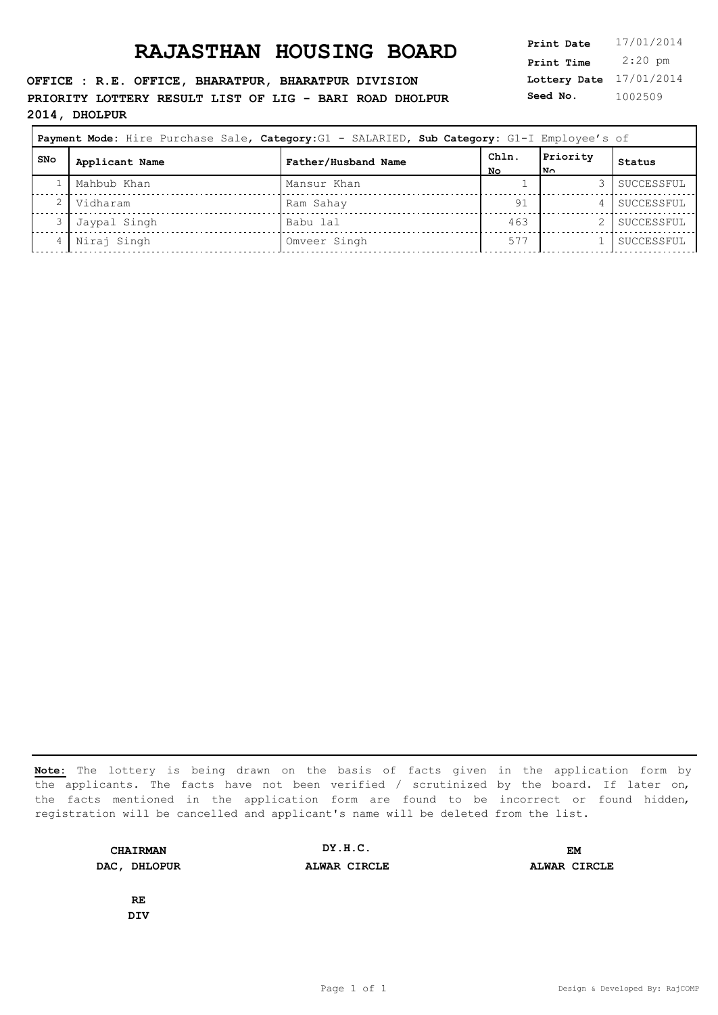**OFFICE : R.E. OFFICE, BHARATPUR, BHARATPUR DIVISION PRIORITY LOTTERY RESULT LIST OF LIG - BARI ROAD DHOLPUR 2014, DHOLPUR**

|            | Payment Mode: Hire Purchase Sale, Category: G1 - SALARIED, Sub Category: G1-I Employee's of |                     |              |                         |            |
|------------|---------------------------------------------------------------------------------------------|---------------------|--------------|-------------------------|------------|
| <b>SNo</b> | Applicant Name                                                                              | Father/Husband Name | ChIn.<br>No. | Priority<br>$N_{\odot}$ | Status     |
|            | Mahbub Khan                                                                                 | Mansur Khan         |              |                         | SUCCESSFUL |
|            | Vidharam                                                                                    | Ram Sahay           | 91           |                         | SUCCESSFUL |
|            | Jaypal Singh                                                                                | Babu lal            | 463          |                         | SUCCESSFUL |
|            | Niraj Singh                                                                                 | Omveer Singh        | 577          |                         | SUCCESSFUL |

**Note:** The lottery is being drawn on the basis of facts given in the application form by the applicants. The facts have not been verified / scrutinized by the board. If later on, the facts mentioned in the application form are found to be incorrect or found hidden, registration will be cancelled and applicant's name will be deleted from the list.

**CHAIRMAN DAC, DHLOPUR ALWAR CIRCLE ALWAR CIRCLE DY.H.C. EM**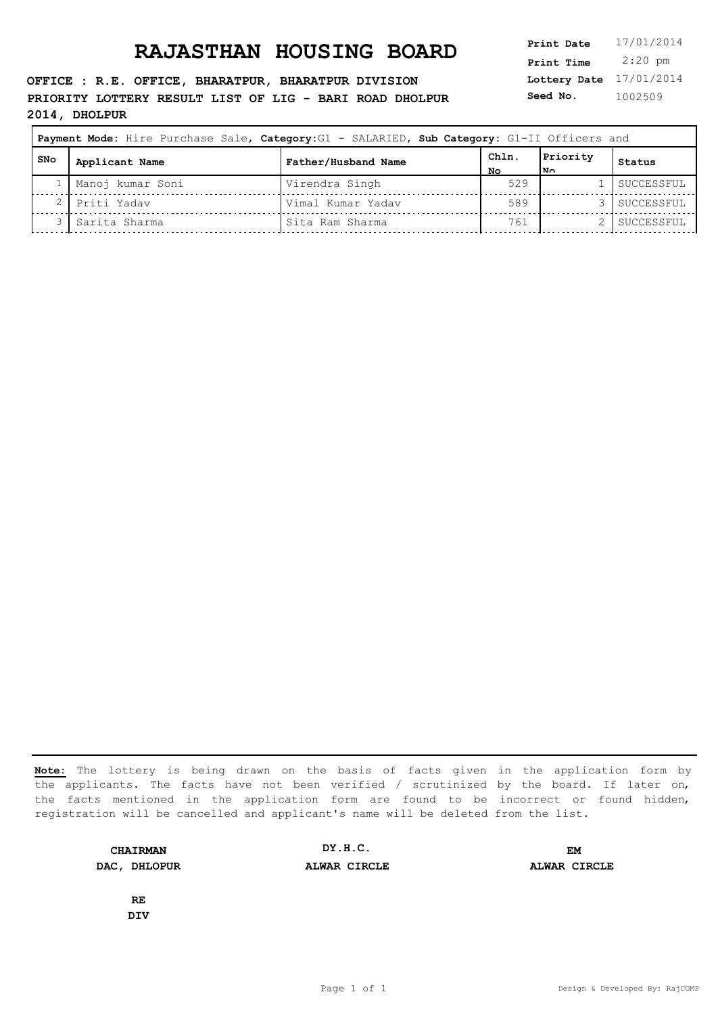**OFFICE : R.E. OFFICE, BHARATPUR, BHARATPUR DIVISION PRIORITY LOTTERY RESULT LIST OF LIG - BARI ROAD DHOLPUR 2014, DHOLPUR**

**Lottery Date** 17/01/2014 **Print Time** 2:20 pm **Seed No.** 1002509

|     |                  | Payment Mode: Hire Purchase Sale, Category: G1 - SALARIED, Sub Category: G1-II Officers and |           |                 |            |
|-----|------------------|---------------------------------------------------------------------------------------------|-----------|-----------------|------------|
| SNo | Applicant Name   | Father/Husband Name                                                                         | ChIn      | Priority<br> N∩ | Status     |
|     | Manoj kumar Soni | Virendra Singh                                                                              | NΟ<br>529 |                 | SUCCESSFUL |
|     | Priti Yadav      | Vimal Kumar Yadav                                                                           | 589       |                 | SUCCESSFUL |
|     | Sarita Sharma    | Sita Ram Sharma                                                                             | 761       |                 | SUCCESSFUL |

**Note:** The lottery is being drawn on the basis of facts given in the application form by the applicants. The facts have not been verified / scrutinized by the board. If later on, the facts mentioned in the application form are found to be incorrect or found hidden, registration will be cancelled and applicant's name will be deleted from the list.

**CHAIRMAN DAC, DHLOPUR ALWAR CIRCLE ALWAR CIRCLE DY.H.C. EM**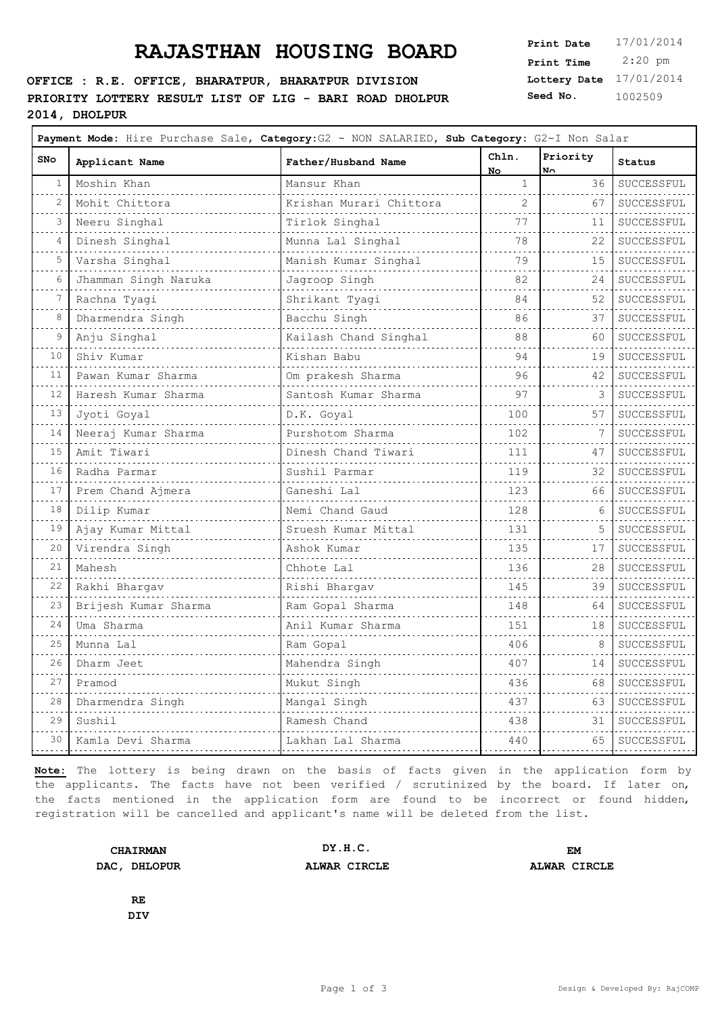#### **OFFICE : R.E. OFFICE, BHARATPUR, BHARATPUR DIVISION PRIORITY LOTTERY RESULT LIST OF LIG - BARI ROAD DHOLPUR 2014, DHOLPUR**

 $\Gamma$ 

**Lottery Date** 17/01/2014 **Print Time** 2:20 pm **Seed No.** 1002509

 $\overline{\phantom{a}}$ 

| <b>SNo</b>                 | Applicant Name       | Father/Husband Name     | Chln.<br>No. | Priority<br>No. | Status     |
|----------------------------|----------------------|-------------------------|--------------|-----------------|------------|
| 1                          | Moshin Khan          | Mansur Khan             | $\mathbf{1}$ | 36              | SUCCESSFUL |
| $\overline{c}$             | Mohit Chittora       | Krishan Murari Chittora | 2            | 67              | SUCCESSFUL |
| 3                          | Neeru Singhal        | Tirlok Singhal          | 77           | 11              | SUCCESSFUL |
| 4                          | Dinesh Singhal       | Munna Lal Singhal       | 78           | 22              | SUCCESSFUL |
| 5                          | Varsha Singhal       | Manish Kumar Singhal    | 79           | 15              | SUCCESSFUL |
| 6                          | Jhamman Singh Naruka | Jagroop Singh           | 82           | 24              | SUCCESSFUL |
| 7                          | Rachna Tyagi         | Shrikant Tyagi          | 84           | 52              | SUCCESSFUL |
| 8                          | Dharmendra Singh     | Bacchu Singh            | 86           | 37              | SUCCESSFUL |
| 9                          | Anju Singhal         | Kailash Chand Singhal   | 88           | 60              | SUCCESSFUL |
| 10                         | Shiv Kumar           | Kishan Babu             | 94           | 19              | SUCCESSFUL |
| 11                         | Pawan Kumar Sharma   | Om prakesh Sharma       | 96           | 42              | SUCCESSFUL |
| 12                         | Haresh Kumar Sharma  | Santosh Kumar Sharma    | 97           | 3               | SUCCESSFUL |
| 13                         | Jyoti Goyal          | D.K. Goyal              | 100          | 57              | SUCCESSFUL |
| 14                         | Neeraj Kumar Sharma  | Purshotom Sharma        | 102          | 7               | SUCCESSFUL |
| 15                         | Amit Tiwari          | Dinesh Chand Tiwari     | 111          | 47              | SUCCESSFUL |
| 16                         | Radha Parmar         | Sushil Parmar           | 119          | 32              | SUCCESSFUL |
| 17                         | Prem Chand Ajmera    | Ganeshi Lal             | 123          | 66              | SUCCESSFUL |
| 18                         | Dilip Kumar          | Nemi Chand Gaud         | 128          | 6               | SUCCESSFUL |
| 19<br>$\sim$ $\sim$ $\sim$ | Ajay Kumar Mittal    | Sruesh Kumar Mittal     | 131<br>.     | 5               | SUCCESSFUL |
| 20                         | Virendra Singh       | Ashok Kumar             | 135          | 17              | SUCCESSFUL |
| 21                         | Mahesh               | Chhote Lal              | 136          | 28              | SUCCESSFUL |
| 22<br>$\sim$ $\sim$ $\sim$ | Rakhi Bhargav<br>.   | Rishi Bhargav           | 145<br>.     | 39              | SUCCESSFUL |
| 23                         | Brijesh Kumar Sharma | Ram Gopal Sharma        | 148          | 64              | SUCCESSFUL |
| 24                         | Uma Sharma           | Anil Kumar Sharma       | 151          | 18              | SUCCESSFUL |
| 25                         | Munna Lal            | Ram Gopal               | 406          | 8               | SUCCESSFUL |
| 26<br>$\sim 10^{-1}$       | Dharm Jeet           | Mahendra Singh          | 407          | 14              | SUCCESSFUL |
| 27                         | Pramod               | Mukut Singh             | 436          | 68              | SUCCESSFUL |
| 28                         | Dharmendra Singh     | Mangal Singh            | 437          | 63              | SUCCESSFUL |
| 29                         | Sushil               | Ramesh Chand            | 438          | 31              | SUCCESSFUL |
| 30                         | Kamla Devi Sharma    | Lakhan Lal Sharma       | 440          | 65              | SUCCESSFUL |
|                            |                      |                         |              |                 |            |

**Note:** The lottery is being drawn on the basis of facts given in the application form by the applicants. The facts have not been verified / scrutinized by the board. If later on, the facts mentioned in the application form are found to be incorrect or found hidden, registration will be cancelled and applicant's name will be deleted from the list.

| <b>CHAIRMAN</b> | DY.H.C.      | EM           |
|-----------------|--------------|--------------|
| DAC, DHLOPUR    | ALWAR CIRCLE | ALWAR CIRCLE |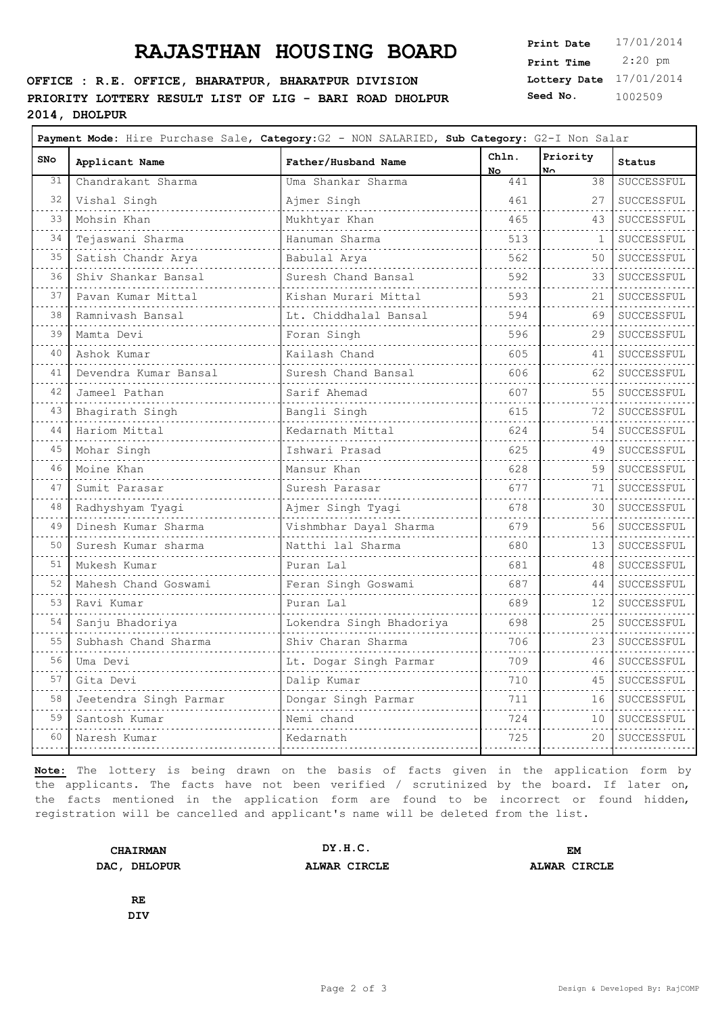#### **OFFICE : R.E. OFFICE, BHARATPUR, BHARATPUR DIVISION PRIORITY LOTTERY RESULT LIST OF LIG - BARI ROAD DHOLPUR 2014, DHOLPUR**

**Lottery Date** 17/01/2014 **Print Time** 2:20 pm **Seed No.** 1002509

| SNo                        | Applicant Name         | Father/Husband Name      | Chln.<br>No. | Priority<br>N٨ | Status          |
|----------------------------|------------------------|--------------------------|--------------|----------------|-----------------|
| 31                         | Chandrakant Sharma     | Uma Shankar Sharma       | 441          | 38             | SUCCESSFUL      |
| 32                         | Vishal Singh           | Ajmer Singh              | 461          | 27             | SUCCESSFUL      |
| 33                         | Mohsin Khan            | Mukhtyar Khan            | 465          | 43             | SUCCESSFUL      |
| 34                         | Tejaswani Sharma       | Hanuman Sharma           | 513          | 1              | SUCCESSFUL      |
| 35                         | Satish Chandr Arya     | Babulal Arya             | 562          | 50             | SUCCESSFUL      |
| 36                         | Shiv Shankar Bansal    | Suresh Chand Bansal      | 592          | 33             | SUCCESSFUL      |
| $\sim$ $\sim$ $\sim$<br>37 | Pavan Kumar Mittal     | Kishan Murari Mittal     | 593          | 21             | .<br>SUCCESSFUL |
| $\sim$ $\sim$ $\sim$<br>38 | Ramnivash Bansal       | Lt. Chiddhalal Bansal    | 594          | 69             | SUCCESSFUL      |
| والمناب<br>39              | Mamta Devi             | Foran Singh              | 596          | 29             | SUCCESSFUL      |
| 40                         | Ashok Kumar            | Kailash Chand            | 605          | 41             | SUCCESSFUL      |
| 41                         | Devendra Kumar Bansal  | Suresh Chand Bansal      | 606          | 62             | SUCCESSFUL      |
| 42                         | Jameel Pathan          | Sarif Ahemad             | 607          | 55             | SUCCESSFUL      |
| 43                         | Bhagirath Singh        | Bangli Singh             | 615          | 72             | SUCCESSFUL      |
| د د د<br>44                | Hariom Mittal          | Kedarnath Mittal         | 624          | 54             | SUCCESSFUL      |
| 45                         | Mohar Singh            | Ishwari Prasad           | 625          | 49             | SUCCESSFUL      |
| 46                         | Moine Khan             | Mansur Khan              | 628          | 59             | SUCCESSFUL      |
| 47                         | Sumit Parasar          | Suresh Parasar           | 677          | 71             | SUCCESSFUL      |
| $\sim$ $\sim$ $\sim$<br>48 | Radhyshyam Tyagi       | Ajmer Singh Tyagi        | 678          | 30             | SUCCESSFUL      |
| 49                         | Dinesh Kumar Sharma    | Vishmbhar Dayal Sharma   | 679          | 56             | SUCCESSFUL      |
| 50                         | Suresh Kumar sharma    | Natthi lal Sharma        | 680          | 13             | SUCCESSFUL      |
| 51                         | Mukesh Kumar           | Puran Lal                | 681          | 48             | SUCCESSFUL      |
| 52                         | Mahesh Chand Goswami   | Feran Singh Goswami      | 687          | 44             | SUCCESSFUL      |
| 53                         | Ravi Kumar             | Puran Lal                | 689          | 12             | SUCCESSFUL      |
| $\sim 100$<br>54           | Sanju Bhadoriya        | Lokendra Singh Bhadoriya | 698          | 25             | .<br>SUCCESSFUL |
| $\sim$ $\sim$ $\sim$<br>55 | Subhash Chand Sharma   | Shiv Charan Sharma       | 706          | 23             | SUCCESSFUL      |
| $\sim$ $\sim$ $\sim$<br>56 | Uma Devi               | Lt. Dogar Singh Parmar   | 709          | 46             | SUCCESSFUL      |
| 57                         | Gita Devi              | Dalip Kumar              | 710          | 45             | SUCCESSFUL      |
| $\sim$ $\sim$ $\sim$<br>58 | Jeetendra Singh Parmar | Dongar Singh Parmar      | 711          | 16             | SUCCESSFUL      |
| 59                         | Santosh Kumar          | Nemi chand               | 724          | 10             | SUCCESSFUL      |
| 60                         | Naresh Kumar           | Kedarnath                | 725          | 20             | SUCCESSFUL      |
|                            |                        |                          |              |                | .               |

**Note:** The lottery is being drawn on the basis of facts given in the application form by the applicants. The facts have not been verified / scrutinized by the board. If later on, the facts mentioned in the application form are found to be incorrect or found hidden, registration will be cancelled and applicant's name will be deleted from the list.

| <b>CHAIRMAN</b> | DY.H.C.      | EM           |
|-----------------|--------------|--------------|
| DAC, DHLOPUR    | ALWAR CIRCLE | ALWAR CIRCLE |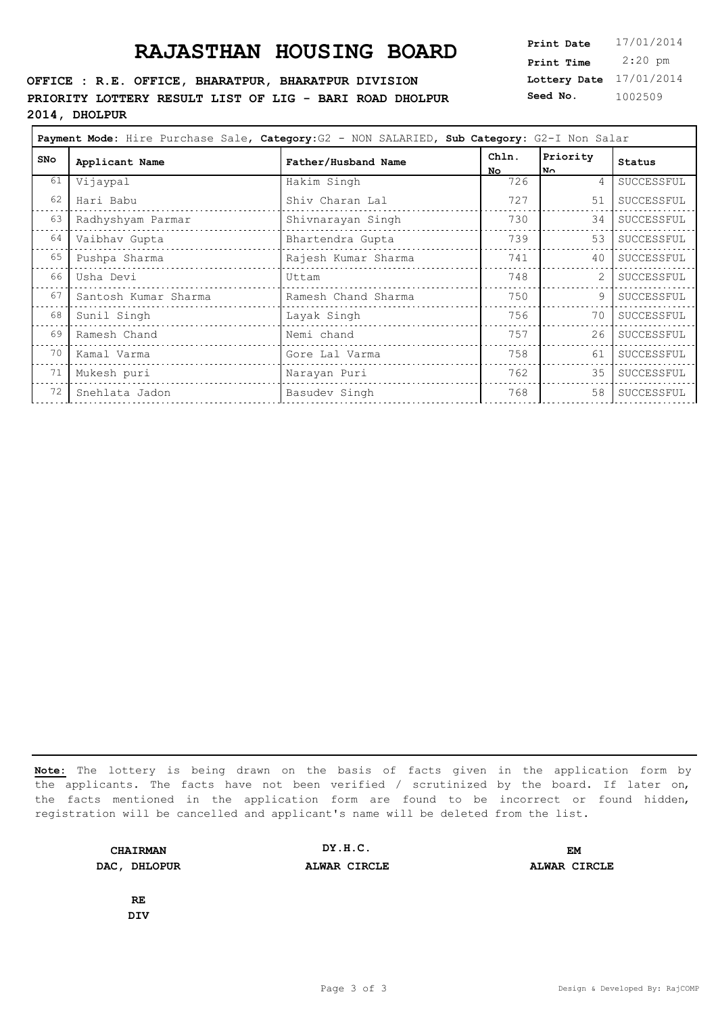#### **OFFICE : R.E. OFFICE, BHARATPUR, BHARATPUR DIVISION PRIORITY LOTTERY RESULT LIST OF LIG - BARI ROAD DHOLPUR 2014, DHOLPUR**

**Lottery Date** 17/01/2014 **Print Time** 2:20 pm **Seed No.** 1002509

| Applicant Name       | Father/Husband Name | Chln.       | Priority | Status     |
|----------------------|---------------------|-------------|----------|------------|
|                      |                     | No.         | l N∩     |            |
|                      |                     |             |          | SUCCESSFUL |
| Hari Babu            | Shiv Charan Lal     | 727         | 51       | SUCCESSFUL |
| Radhyshyam Parmar    | Shivnarayan Singh   | 730         | 34       | SUCCESSFUL |
| Vaibhav Gupta        | Bhartendra Gupta    | 739         | 53       | SUCCESSFUL |
| Pushpa Sharma        | Rajesh Kumar Sharma | 741         | 40       | SUCCESSFUL |
| Usha Devi            | Uttam               | 748         |          | SUCCESSFUL |
| Santosh Kumar Sharma | Ramesh Chand Sharma | 750         | 9        | SUCCESSFUL |
| Sunil Singh          | Layak Singh         | 756         | 70       | SUCCESSFUL |
| Ramesh Chand         | Nemi chand          | 757         | 26       | SUCCESSFUL |
| Kamal Varma          | Gore Lal Varma      | 758         | 61       | SUCCESSFUL |
| Mukesh puri          | Narayan Puri        | 762         | 35       | SUCCESSFUL |
| Snehlata Jadon       | Basudev Singh       | 768         | 58       | SUCCESSFUL |
|                      | Vijaypal            | Hakim Singh | 726      | 4          |

**Note:** The lottery is being drawn on the basis of facts given in the application form by the applicants. The facts have not been verified / scrutinized by the board. If later on, the facts mentioned in the application form are found to be incorrect or found hidden, registration will be cancelled and applicant's name will be deleted from the list.

**CHAIRMAN DAC, DHLOPUR ALWAR CIRCLE ALWAR CIRCLE DY.H.C. EM**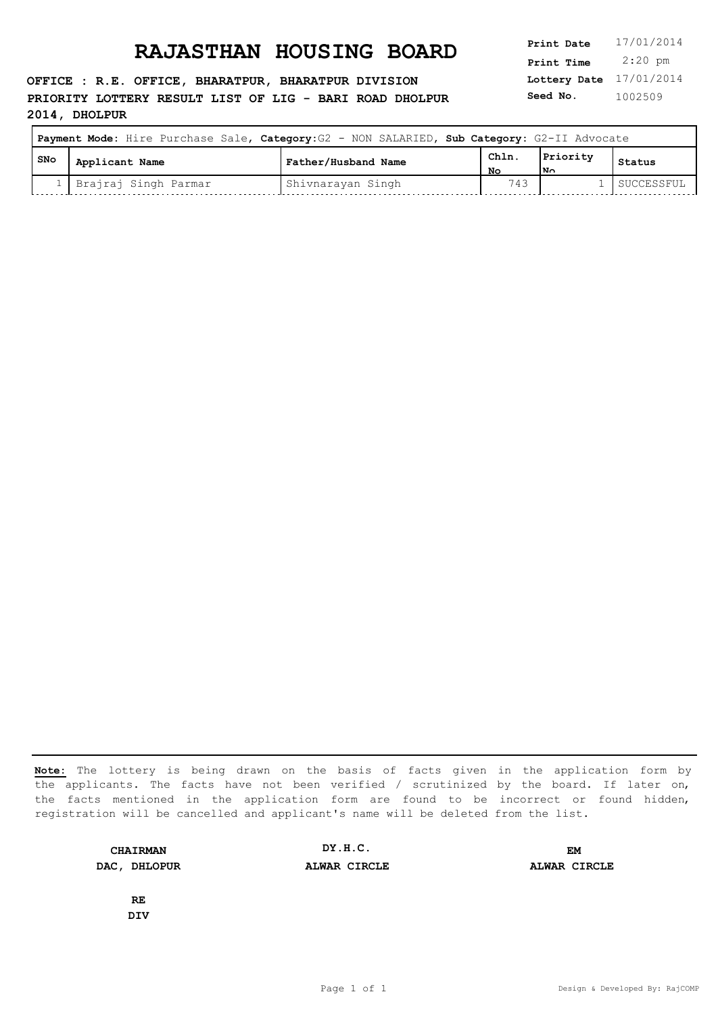**OFFICE : R.E. OFFICE, BHARATPUR, BHARATPUR DIVISION PRIORITY LOTTERY RESULT LIST OF LIG - BARI ROAD DHOLPUR 2014, DHOLPUR**

**Lottery Date** 17/01/2014 **Print Time** 2:20 pm **Seed No.** 1002509

|     | Payment Mode: Hire Purchase Sale, Category: G2 - NON SALARIED, Sub Category: G2-II Advocate |                     |             |                 |            |
|-----|---------------------------------------------------------------------------------------------|---------------------|-------------|-----------------|------------|
| SNo | Applicant Name                                                                              | Father/Husband Name | Chln.<br>Nο | Priority<br>lN∩ | Status     |
|     | Brajraj Singh Parmar                                                                        | Shivnarayan Singh   | 743         |                 | SUCCESSFUL |

**Note:** The lottery is being drawn on the basis of facts given in the application form by the applicants. The facts have not been verified / scrutinized by the board. If later on, the facts mentioned in the application form are found to be incorrect or found hidden, registration will be cancelled and applicant's name will be deleted from the list.

**CHAIRMAN DAC, DHLOPUR ALWAR CIRCLE ALWAR CIRCLE DY.H.C. EM**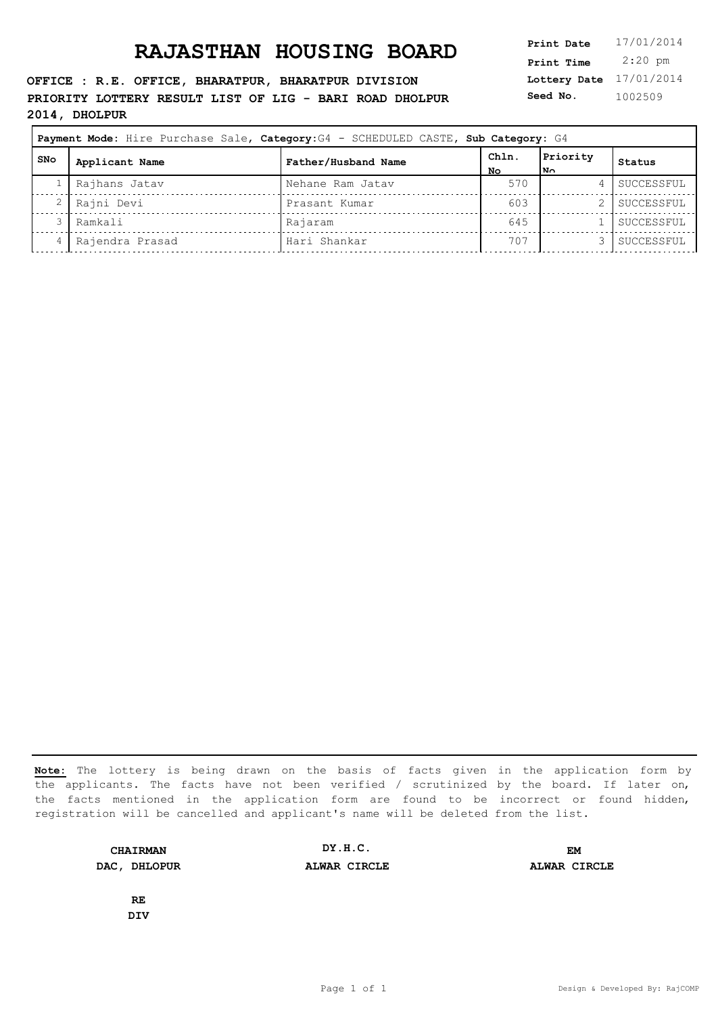**OFFICE : R.E. OFFICE, BHARATPUR, BHARATPUR DIVISION PRIORITY LOTTERY RESULT LIST OF LIG - BARI ROAD DHOLPUR 2014, DHOLPUR**

| Print Date   | 17/01/2014 |
|--------------|------------|
| Print Time   | $2:20$ pm  |
| Lottery Date | 17/01/2014 |
| Seed No.     | 1002509    |

|     |                 | Payment Mode: Hire Purchase Sale, Category: G4 - SCHEDULED CASTE, Sub Category: G4 |             |                 |            |
|-----|-----------------|------------------------------------------------------------------------------------|-------------|-----------------|------------|
| SNo | Applicant Name  | Father/Husband Name                                                                | Chln.<br>NΟ | Priority<br> N∩ | Status     |
|     | Rajhans Jatav   | Nehane Ram Jatav                                                                   | 570         | 4               | SUCCESSFUL |
|     | Rajni Devi      | Prasant Kumar                                                                      | 603         |                 | SUCCESSFUL |
|     | Ramkali         | Rajaram                                                                            | 645         |                 | SUCCESSFUL |
|     | Rajendra Prasad | Hari Shankar                                                                       | 707         |                 | SUCCESSFUL |

**Note:** The lottery is being drawn on the basis of facts given in the application form by the applicants. The facts have not been verified / scrutinized by the board. If later on, the facts mentioned in the application form are found to be incorrect or found hidden, registration will be cancelled and applicant's name will be deleted from the list.

**CHAIRMAN DAC, DHLOPUR ALWAR CIRCLE ALWAR CIRCLE DY.H.C. EM**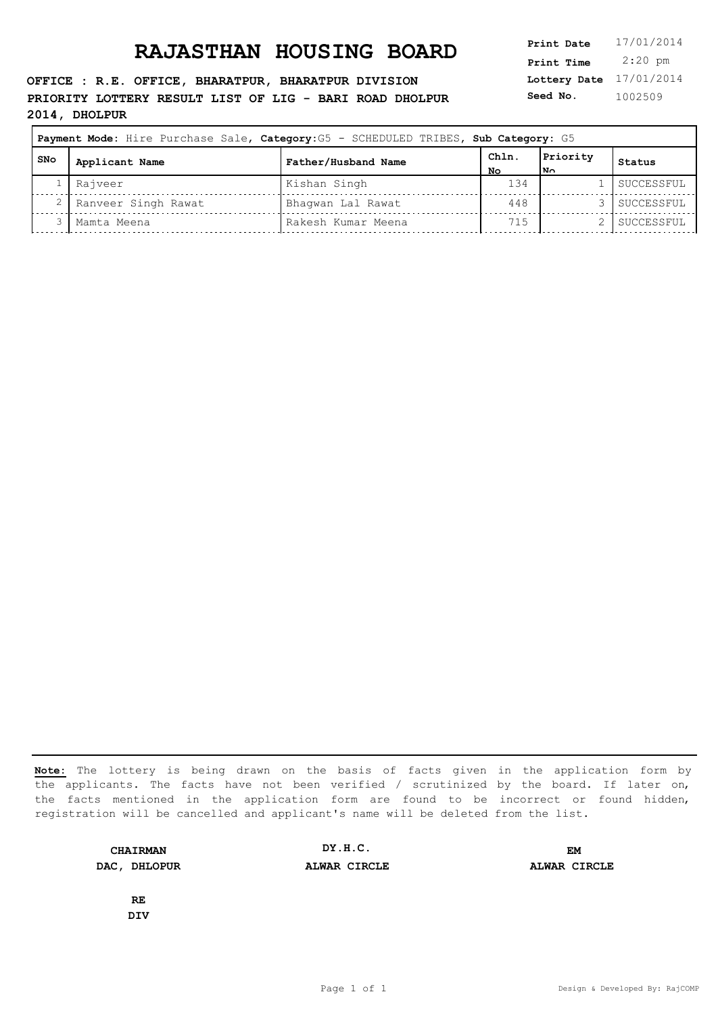**OFFICE : R.E. OFFICE, BHARATPUR, BHARATPUR DIVISION PRIORITY LOTTERY RESULT LIST OF LIG - BARI ROAD DHOLPUR 2014, DHOLPUR**

| 17/01/2014 |
|------------|
| $2:20$ pm  |
| 17/01/2014 |
| 1002509    |
|            |

| Payment Mode: Hire Purchase Sale, Category: G5 - SCHEDULED TRIBES, Sub Category: G5 |                     |                     |           |                          |            |
|-------------------------------------------------------------------------------------|---------------------|---------------------|-----------|--------------------------|------------|
| l SNo                                                                               | Applicant Name      | Father/Husband Name | ChIn.     | Priority<br>$\mathbf{N}$ | Status     |
|                                                                                     | Rajveer             | Kishan Singh        | Nο<br>134 |                          | SUCCESSFUL |
|                                                                                     | Ranveer Singh Rawat | Bhaqwan Lal Rawat   | 448       |                          | SUCCESSFUL |
|                                                                                     | Mamta Meena         | Rakesh Kumar Meena  | 715       |                          | SUCCESSFUL |

**Note:** The lottery is being drawn on the basis of facts given in the application form by the applicants. The facts have not been verified / scrutinized by the board. If later on, the facts mentioned in the application form are found to be incorrect or found hidden, registration will be cancelled and applicant's name will be deleted from the list.

**CHAIRMAN DAC, DHLOPUR ALWAR CIRCLE ALWAR CIRCLE DY.H.C. EM**

**DIV**

**RE**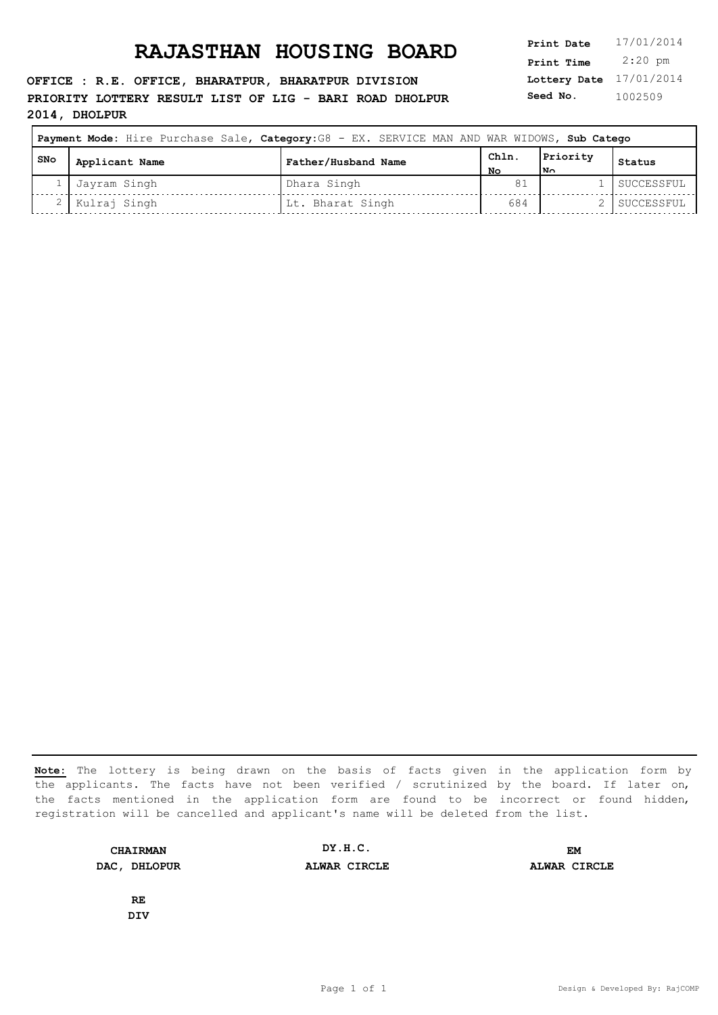**OFFICE : R.E. OFFICE, BHARATPUR, BHARATPUR DIVISION PRIORITY LOTTERY RESULT LIST OF LIG - BARI ROAD DHOLPUR 2014, DHOLPUR**

| 17/01/2014 |
|------------|
| $2:20$ pm  |
| 17/01/2014 |
| 1002509    |
|            |

| Payment Mode: Hire Purchase Sale, Category: G8 - EX. SERVICE MAN AND WAR WIDOWS, Sub Catego |                |                     |      |          |            |  |
|---------------------------------------------------------------------------------------------|----------------|---------------------|------|----------|------------|--|
| l SNo                                                                                       | Applicant Name | Father/Husband Name | Chln | Priority | Status     |  |
|                                                                                             | Jayram Singh   | Dhara Singh         | NΟ   | המו      | SUCCESSFUL |  |
|                                                                                             | Kulraj Singh   | Lt. Bharat Singh    | 684  |          | SUCCESSFUL |  |

**Note:** The lottery is being drawn on the basis of facts given in the application form by the applicants. The facts have not been verified / scrutinized by the board. If later on, the facts mentioned in the application form are found to be incorrect or found hidden, registration will be cancelled and applicant's name will be deleted from the list.

**CHAIRMAN DAC, DHLOPUR ALWAR CIRCLE ALWAR CIRCLE DY.H.C. EM**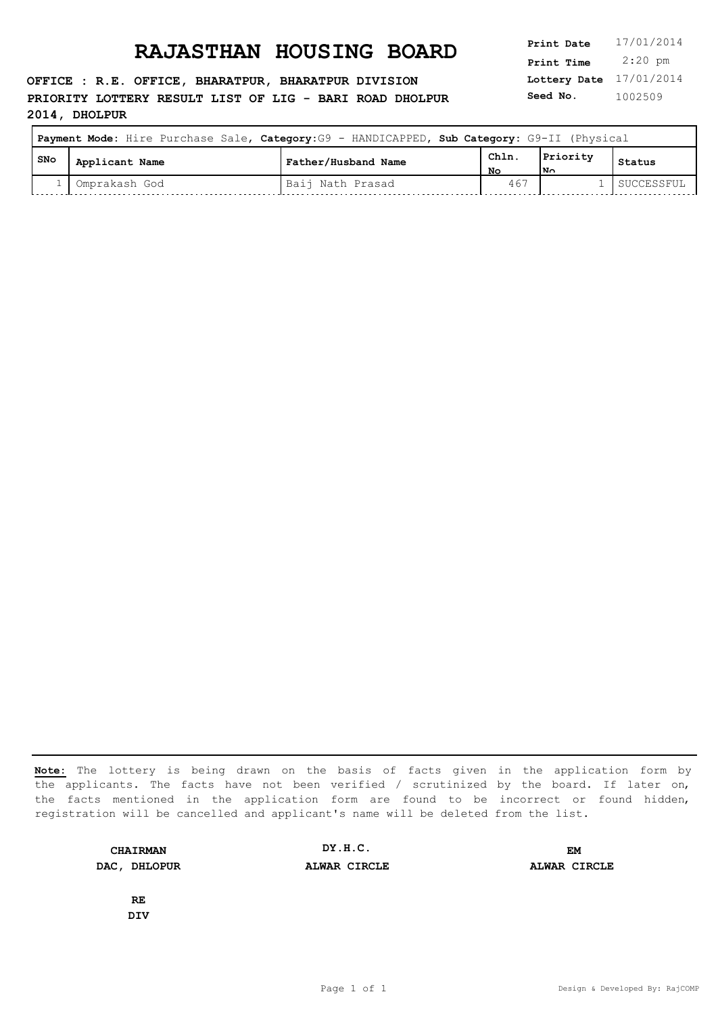**OFFICE : R.E. OFFICE, BHARATPUR, BHARATPUR DIVISION PRIORITY LOTTERY RESULT LIST OF LIG - BARI ROAD DHOLPUR 2014, DHOLPUR**

**Lottery Date** 17/01/2014 **Print Time** 2:20 pm **Seed No.** 1002509

| Payment Mode: Hire Purchase Sale, Category: G9 - HANDICAPPED, Sub Category: G9-II (Physical |                |                     |            |                 |            |
|---------------------------------------------------------------------------------------------|----------------|---------------------|------------|-----------------|------------|
| I SNo                                                                                       | Applicant Name | Father/Husband Name | ChIn<br>NΟ | Priority<br>l۷o | Status     |
|                                                                                             | Omprakash God  | Baij Nath Prasad    | 467        |                 | SUCCESSFUL |

**Note:** The lottery is being drawn on the basis of facts given in the application form by the applicants. The facts have not been verified / scrutinized by the board. If later on, the facts mentioned in the application form are found to be incorrect or found hidden, registration will be cancelled and applicant's name will be deleted from the list.

**CHAIRMAN DAC, DHLOPUR ALWAR CIRCLE ALWAR CIRCLE DY.H.C. EM**

**DIV**

**RE**